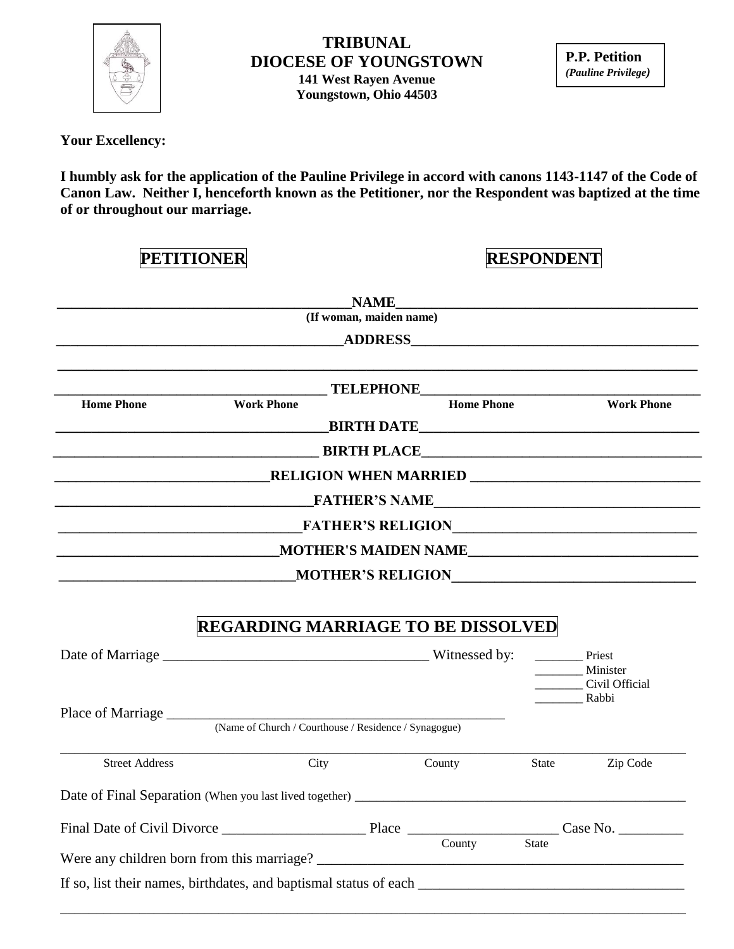

#### **TRIBUNAL DIOCESE OF YOUNGSTOWN 141 West Rayen Avenue Youngstown, Ohio 44503**

**P.P. Petition**  *(Pauline Privilege)*

 **Your Excellency:**

**I humbly ask for the application of the Pauline Privilege in accord with canons 1143-1147 of the Code of Canon Law. Neither I, henceforth known as the Petitioner, nor the Respondent was baptized at the time of or throughout our marriage.**

| <b>PETITIONER</b>     |                                                       | <b>RESPONDENT</b>       |                   |       |                            |  |
|-----------------------|-------------------------------------------------------|-------------------------|-------------------|-------|----------------------------|--|
|                       |                                                       |                         |                   |       |                            |  |
|                       |                                                       | (If woman, maiden name) |                   |       |                            |  |
|                       |                                                       |                         |                   |       |                            |  |
|                       |                                                       |                         |                   |       |                            |  |
| <b>Home Phone</b>     | <b>Work Phone</b>                                     |                         | <b>Home Phone</b> |       | <b>Work Phone</b>          |  |
|                       |                                                       |                         |                   |       | <b>EXAMPLE THE DATE</b>    |  |
|                       |                                                       |                         |                   |       | <b>EXAMPLE BIRTH PLACE</b> |  |
|                       |                                                       |                         |                   |       |                            |  |
|                       |                                                       |                         |                   |       |                            |  |
|                       |                                                       |                         |                   |       |                            |  |
|                       |                                                       |                         |                   |       |                            |  |
|                       |                                                       |                         |                   |       |                            |  |
|                       |                                                       |                         |                   |       | MOTHER'S RELIGION          |  |
|                       | <b>REGARDING MARRIAGE TO BE DISSOLVED</b>             |                         |                   |       | Priest<br>Minister         |  |
|                       |                                                       |                         |                   |       | Civil Official<br>Rabbi    |  |
|                       |                                                       |                         |                   |       |                            |  |
|                       | (Name of Church / Courthouse / Residence / Synagogue) |                         |                   |       |                            |  |
| <b>Street Address</b> | City                                                  |                         | County            | State | Zip Code                   |  |
|                       |                                                       |                         |                   |       |                            |  |
|                       |                                                       |                         |                   |       |                            |  |
|                       |                                                       |                         |                   |       |                            |  |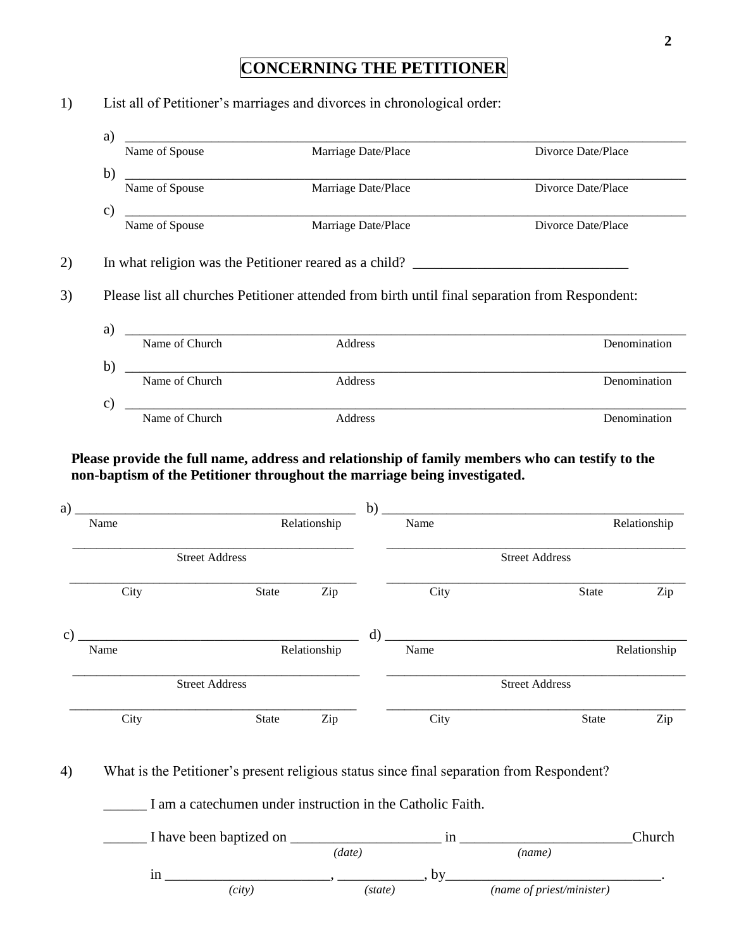### **CONCERNING THE PETITIONER**

# a) \_\_\_\_\_\_\_\_\_\_\_\_\_\_\_\_\_\_\_\_\_\_\_\_\_\_\_\_\_\_\_\_\_\_\_\_\_\_\_\_\_\_\_\_\_\_\_\_\_\_\_\_\_\_\_\_\_\_\_\_\_\_\_\_\_\_\_\_\_\_\_\_\_\_\_\_\_\_ Name of Spouse Marriage Date/Place Divorce Date/Place Divorce Date/Place b) \_\_\_\_\_\_\_\_\_\_\_\_\_\_\_\_\_\_\_\_\_\_\_\_\_\_\_\_\_\_\_\_\_\_\_\_\_\_\_\_\_\_\_\_\_\_\_\_\_\_\_\_\_\_\_\_\_\_\_\_\_\_\_\_\_\_\_\_\_\_\_\_\_\_\_\_\_\_ Name of Spouse Marriage Date/Place Divorce Date/Place Divorce Date/Place  $c)$   $\overline{\phantom{a}}$   $\overline{\phantom{a}}$   $\overline{\phantom{a}}$   $\overline{\phantom{a}}$   $\overline{\phantom{a}}$   $\overline{\phantom{a}}$   $\overline{\phantom{a}}$   $\overline{\phantom{a}}$   $\overline{\phantom{a}}$   $\overline{\phantom{a}}$   $\overline{\phantom{a}}$   $\overline{\phantom{a}}$   $\overline{\phantom{a}}$   $\overline{\phantom{a}}$   $\overline{\phantom{a}}$   $\overline{\phantom{a}}$   $\overline{\phantom{a}}$   $\overline{\phantom{a}}$  Name of Spouse **Marriage Date/Place** Divorce Date/Place **Divorce Date/Place** 2) In what religion was the Petitioner reared as a child? 3) Please list all churches Petitioner attended from birth until final separation from Respondent: a) \_\_\_\_\_\_\_\_\_\_\_\_\_\_\_\_\_\_\_\_\_\_\_\_\_\_\_\_\_\_\_\_\_\_\_\_\_\_\_\_\_\_\_\_\_\_\_\_\_\_\_\_\_\_\_\_\_\_\_\_\_\_\_\_\_\_\_\_\_\_\_\_\_\_\_\_\_\_ Name of Church Address Address Denomination b) \_\_\_\_\_\_\_\_\_\_\_\_\_\_\_\_\_\_\_\_\_\_\_\_\_\_\_\_\_\_\_\_\_\_\_\_\_\_\_\_\_\_\_\_\_\_\_\_\_\_\_\_\_\_\_\_\_\_\_\_\_\_\_\_\_\_\_\_\_\_\_\_\_\_\_\_\_\_ Name of Church Address Address Denomination  $c)$   $\overline{\phantom{a}}$   $\overline{\phantom{a}}$   $\overline{\phantom{a}}$   $\overline{\phantom{a}}$   $\overline{\phantom{a}}$   $\overline{\phantom{a}}$   $\overline{\phantom{a}}$   $\overline{\phantom{a}}$   $\overline{\phantom{a}}$   $\overline{\phantom{a}}$   $\overline{\phantom{a}}$   $\overline{\phantom{a}}$   $\overline{\phantom{a}}$   $\overline{\phantom{a}}$   $\overline{\phantom{a}}$   $\overline{\phantom{a}}$   $\overline{\phantom{a}}$   $\overline{\phantom{a}}$  Name of Church **Address** Address **Denomination**

1) List all of Petitioner's marriages and divorces in chronological order:

 **Please provide the full name, address and relationship of family members who can testify to the non-baptism of the Petitioner throughout the marriage being investigated.**

| a)            |      |                       |              |              | b)           |      |                       |              |              |
|---------------|------|-----------------------|--------------|--------------|--------------|------|-----------------------|--------------|--------------|
|               | Name |                       |              | Relationship |              | Name |                       |              | Relationship |
|               |      | <b>Street Address</b> |              |              |              |      | <b>Street Address</b> |              |              |
|               | City |                       | State        | Zip          |              | City |                       | State        | Zip          |
| $\mathbf{c})$ |      |                       |              |              | $\mathbf{d}$ |      |                       |              |              |
|               | Name |                       |              | Relationship |              | Name |                       |              | Relationship |
|               |      | <b>Street Address</b> |              |              |              |      | <b>Street Address</b> |              |              |
|               | City |                       | <b>State</b> | Zip          |              | City |                       | <b>State</b> | Zip          |

4) What is the Petitioner's present religious status since final separation from Respondent?

\_\_\_\_\_\_ I am a catechumen under instruction in the Catholic Faith.

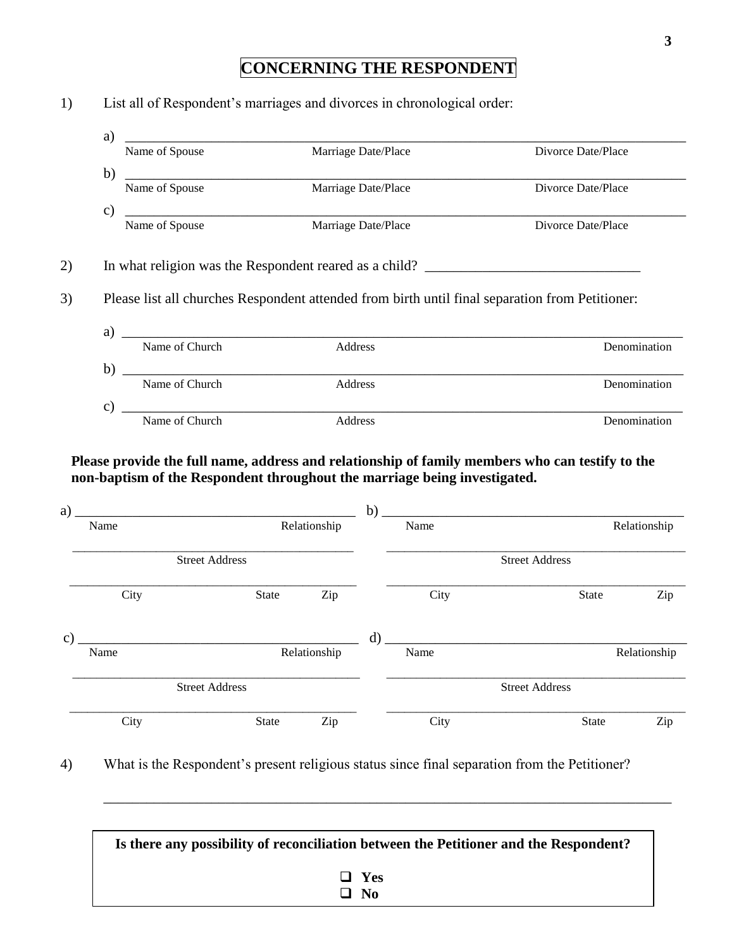### **CONCERNING THE RESPONDENT**

a) \_\_\_\_\_\_\_\_\_\_\_\_\_\_\_\_\_\_\_\_\_\_\_\_\_\_\_\_\_\_\_\_\_\_\_\_\_\_\_\_\_\_\_\_\_\_\_\_\_\_\_\_\_\_\_\_\_\_\_\_\_\_\_\_\_\_\_\_\_\_\_\_\_\_\_\_\_\_ Name of Spouse Marriage Date/Place Divorce Date/Place Divorce Date/Place b) \_\_\_\_\_\_\_\_\_\_\_\_\_\_\_\_\_\_\_\_\_\_\_\_\_\_\_\_\_\_\_\_\_\_\_\_\_\_\_\_\_\_\_\_\_\_\_\_\_\_\_\_\_\_\_\_\_\_\_\_\_\_\_\_\_\_\_\_\_\_\_\_\_\_\_\_\_\_ Name of Spouse Marriage Date/Place Divorce Date/Place Divorce Date/Place  $c)$   $\overline{\phantom{a}}$   $\overline{\phantom{a}}$   $\overline{\phantom{a}}$   $\overline{\phantom{a}}$   $\overline{\phantom{a}}$   $\overline{\phantom{a}}$   $\overline{\phantom{a}}$   $\overline{\phantom{a}}$   $\overline{\phantom{a}}$   $\overline{\phantom{a}}$   $\overline{\phantom{a}}$   $\overline{\phantom{a}}$   $\overline{\phantom{a}}$   $\overline{\phantom{a}}$   $\overline{\phantom{a}}$   $\overline{\phantom{a}}$   $\overline{\phantom{a}}$   $\overline{\phantom{a}}$  Name of Spouse **Marriage Date/Place** Divorce Date/Place **Divorce Date/Place** 2) In what religion was the Respondent reared as a child? \_\_\_\_\_\_\_\_\_\_\_\_\_\_\_\_\_\_\_\_\_\_\_ 3) Please list all churches Respondent attended from birth until final separation from Petitioner: a) \_\_\_\_\_\_\_\_\_\_\_\_\_\_\_\_\_\_\_\_\_\_\_\_\_\_\_\_\_\_\_\_\_\_\_\_\_\_\_\_\_\_\_\_\_\_\_\_\_\_\_\_\_\_\_\_\_\_\_\_\_\_\_\_\_\_\_\_\_\_\_\_\_\_\_\_\_\_ Name of Church Address Denomination b) \_\_\_\_\_\_\_\_\_\_\_\_\_\_\_\_\_\_\_\_\_\_\_\_\_\_\_\_\_\_\_\_\_\_\_\_\_\_\_\_\_\_\_\_\_\_\_\_\_\_\_\_\_\_\_\_\_\_\_\_\_\_\_\_\_\_\_\_\_\_\_\_\_\_\_\_\_\_ Name of Church Address Address Denomination  $c)$   $\hspace{0.5cm}$   $\hspace{0.5cm}$   $\hspace{0.5cm}$   $\hspace{0.5cm}$   $\hspace{0.5cm}$   $\hspace{0.5cm}$   $\hspace{0.5cm}$   $\hspace{0.5cm}$   $\hspace{0.5cm}$   $\hspace{0.5cm}$   $\hspace{0.5cm}$   $\hspace{0.5cm}$   $\hspace{0.5cm}$   $\hspace{0.5cm}$   $\hspace{0.5cm}$   $\hspace{0.5cm}$   $\hspace{0.5cm}$   $\hspace{0.5cm}$ 

1) List all of Respondent's marriages and divorces in chronological order:

 **Please provide the full name, address and relationship of family members who can testify to the non-baptism of the Respondent throughout the marriage being investigated.**

Name of Church **Address** Address **Denomination** 

| a)            |      |                       |              |              | b)      |      |                       |              |              |
|---------------|------|-----------------------|--------------|--------------|---------|------|-----------------------|--------------|--------------|
|               | Name |                       |              | Relationship |         | Name |                       |              | Relationship |
|               |      | <b>Street Address</b> |              |              |         |      | <b>Street Address</b> |              |              |
|               | City |                       | State        | Zip          |         | City |                       | State        | Zip          |
| $\mathbf{c})$ |      |                       |              |              | $\rm d$ |      |                       |              |              |
|               | Name |                       |              | Relationship |         | Name |                       |              | Relationship |
|               |      | <b>Street Address</b> |              |              |         |      | <b>Street Address</b> |              |              |
|               | City |                       | <b>State</b> | Zip          |         | City |                       | <b>State</b> | Zip          |

4) What is the Respondent's present religious status since final separation from the Petitioner?

| Is there any possibility of reconciliation between the Petitioner and the Respondent? |  |
|---------------------------------------------------------------------------------------|--|
| $\Box$ Yes<br>$\Box$ No                                                               |  |

\_\_\_\_\_\_\_\_\_\_\_\_\_\_\_\_\_\_\_\_\_\_\_\_\_\_\_\_\_\_\_\_\_\_\_\_\_\_\_\_\_\_\_\_\_\_\_\_\_\_\_\_\_\_\_\_\_\_\_\_\_\_\_\_\_\_\_\_\_\_\_\_\_\_\_\_\_\_\_